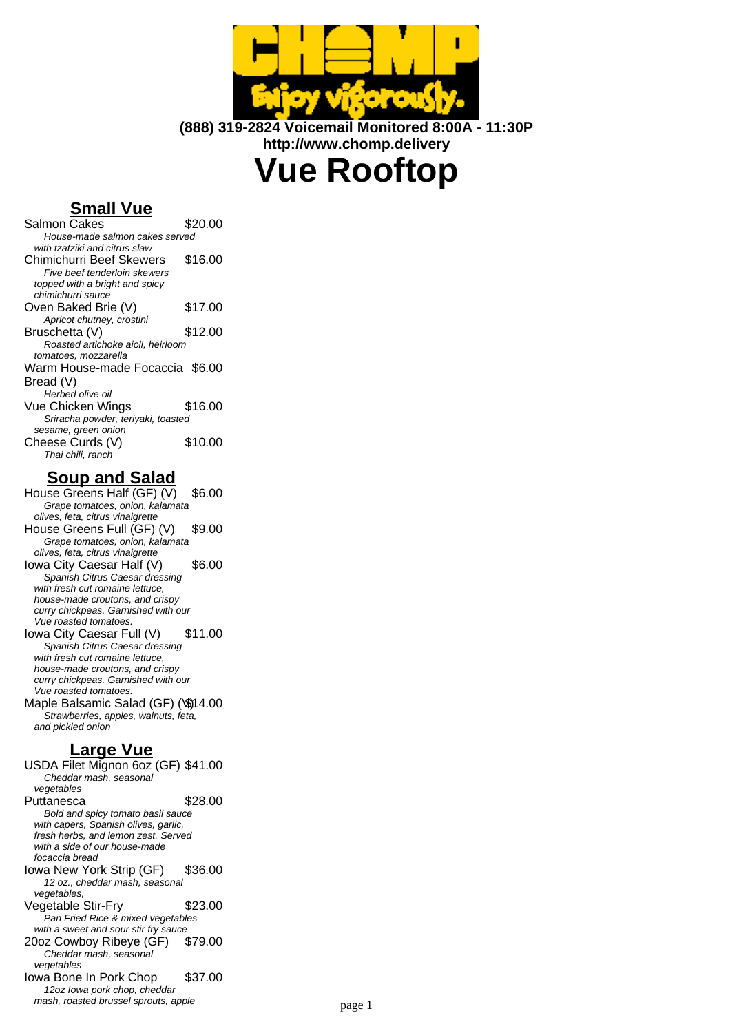

**(888) 319-2824 Voicemail Monitored 8:00A - 11:30P http://www.chomp.delivery**

# **Vue Rooftop**

# **Small Vue**

| Salmon Cakes                       | \$20.00 |
|------------------------------------|---------|
| House-made salmon cakes served     |         |
| with tzatziki and citrus slaw      |         |
| Chimichurri Beef Skewers           | \$16.00 |
| Five beef tenderloin skewers       |         |
| topped with a bright and spicy     |         |
| chimichurri sauce                  |         |
| Oven Baked Brie (V)                | \$17.00 |
| Apricot chutney, crostini          |         |
| Bruschetta (V)                     | \$12.00 |
| Roasted artichoke aioli, heirloom  |         |
| tomatoes, mozzarella               |         |
| Warm House-made Focaccia \$6.00    |         |
| Bread (V)                          |         |
| Herbed olive oil                   |         |
| Vue Chicken Wings                  | \$16.00 |
| Sriracha powder, teriyaki, toasted |         |
| sesame, green onion                |         |
| Cheese Curds (V)                   | \$10.00 |
| Thai chili, ranch                  |         |

#### **Soup and Salad**

House Greens Half (GF) (V) \$6.00 Grape tomatoes, onion, kalamata olives, feta, citrus vinaigrette House Greens Full (GF) (V) \$9.00 Grape tomatoes, onion, kalamata olives, feta, citrus vinaigrette Iowa City Caesar Half (V) \$6.00 Spanish Citrus Caesar dressing with fresh cut romaine lettuce, house-made croutons, and crispy curry chickpeas. Garnished with our Vue roasted tomatoes. Iowa City Caesar Full (V) \$11.00 Spanish Citrus Caesar dressing with fresh cut romaine lettuce, house-made croutons, and crispy curry chickpeas. Garnished with our Vue roasted tomatoes. Maple Balsamic Salad (GF) (\\$)14.00 Strawberries, apples, walnuts, feta,

#### **Large Vue**

and pickled onion

USDA Filet Mignon 6oz (GF) \$41.00 Cheddar mash, seasonal vegetables Puttanesca \$28.00 Bold and spicy tomato basil sauce with capers, Spanish olives, garlic, fresh herbs, and lemon zest. Served with a side of our house-made focaccia bread Iowa New York Strip (GF) \$36.00 12 oz., cheddar mash, seasonal vegetables, Vegetable Stir-Fry \$23.00 Pan Fried Rice & mixed vegetables with a sweet and sour stir fry sauce 20oz Cowboy Ribeye (GF) \$79.00 Cheddar mash, seasonal vegetables Iowa Bone In Pork Chop \$37.00 12oz Iowa pork chop, cheddar mash, roasted brussel sprouts, apple masses are page 1